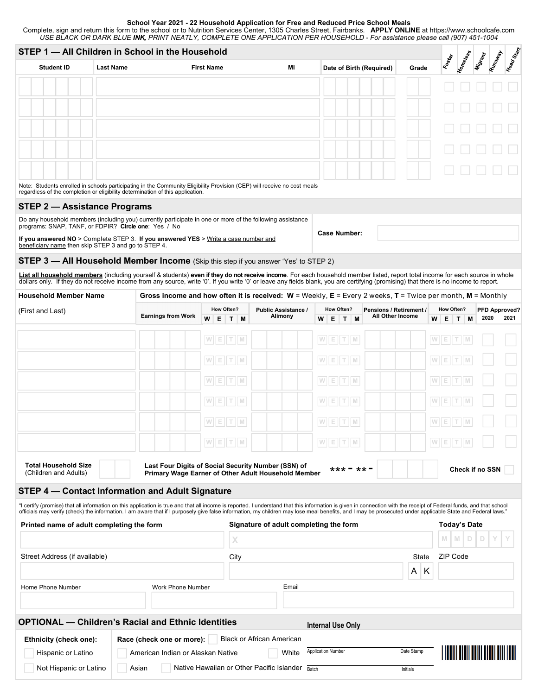## **School Year 2021 - 22 Household Application for Free and Reduced Price School Meals**

Complete, sign and return this form to the school or to Nutrition Services Center, 1305 Charles Street, Fairbanks. **APPLY ONLINE** at https://www.schoolcafe.com *USE BLACK OR DARK BLUE INK, PRINT NEATLY, COMPLETE ONE APPLICATION PER HOUSEHOLD - For assistance please call (907) 451-1004* 

|                                                                                                                                                                                                                                                                                                                                                                                                                                   | STEP 1 - All Children in School in the Household<br>Runaway<br><b>Misrant</b><br><b>Koster</b> |                                                                                                                  |            |     |                                                 |       |                                   |                                                                 |       |                         |          |                                      |            |                      |
|-----------------------------------------------------------------------------------------------------------------------------------------------------------------------------------------------------------------------------------------------------------------------------------------------------------------------------------------------------------------------------------------------------------------------------------|------------------------------------------------------------------------------------------------|------------------------------------------------------------------------------------------------------------------|------------|-----|-------------------------------------------------|-------|-----------------------------------|-----------------------------------------------------------------|-------|-------------------------|----------|--------------------------------------|------------|----------------------|
| <b>Student ID</b>                                                                                                                                                                                                                                                                                                                                                                                                                 | <b>Last Name</b>                                                                               | <b>First Name</b>                                                                                                | MI         |     |                                                 |       | Date of Birth (Required)<br>Grade |                                                                 |       |                         | Homeless |                                      | Head Start |                      |
|                                                                                                                                                                                                                                                                                                                                                                                                                                   |                                                                                                |                                                                                                                  |            |     |                                                 |       |                                   |                                                                 |       |                         |          |                                      |            |                      |
|                                                                                                                                                                                                                                                                                                                                                                                                                                   |                                                                                                |                                                                                                                  |            |     |                                                 |       |                                   |                                                                 |       |                         |          |                                      |            |                      |
|                                                                                                                                                                                                                                                                                                                                                                                                                                   |                                                                                                |                                                                                                                  |            |     |                                                 |       |                                   |                                                                 |       |                         |          |                                      |            |                      |
|                                                                                                                                                                                                                                                                                                                                                                                                                                   |                                                                                                |                                                                                                                  |            |     |                                                 |       |                                   |                                                                 |       |                         |          |                                      |            |                      |
|                                                                                                                                                                                                                                                                                                                                                                                                                                   |                                                                                                |                                                                                                                  |            |     |                                                 |       |                                   |                                                                 |       |                         |          |                                      |            |                      |
|                                                                                                                                                                                                                                                                                                                                                                                                                                   |                                                                                                |                                                                                                                  |            |     |                                                 |       |                                   |                                                                 |       |                         |          |                                      |            |                      |
| Note: Students enrolled in schools participating in the Community Eligibility Provision (CEP) will receive no cost meals<br>regardless of the completion or eligibility determination of this application.                                                                                                                                                                                                                        |                                                                                                |                                                                                                                  |            |     |                                                 |       |                                   |                                                                 |       |                         |          |                                      |            |                      |
| <b>STEP 2 - Assistance Programs</b>                                                                                                                                                                                                                                                                                                                                                                                               |                                                                                                |                                                                                                                  |            |     |                                                 |       |                                   |                                                                 |       |                         |          |                                      |            |                      |
| Do any household members (including you) currently participate in one or more of the following assistance<br>programs: SNAP, TANF, or FDPIR? Circle one: Yes / No                                                                                                                                                                                                                                                                 |                                                                                                |                                                                                                                  |            |     |                                                 |       |                                   |                                                                 |       |                         |          |                                      |            |                      |
| If you answered NO > Complete STEP 3. If you answered YES > Write a case number and<br>beneficiary name then skip STEP 3 and go to STEP 4.                                                                                                                                                                                                                                                                                        |                                                                                                |                                                                                                                  |            |     |                                                 |       | <b>Case Number:</b>               |                                                                 |       |                         |          |                                      |            |                      |
| <b>STEP 3 - All Household Member Income</b> (Skip this step if you answer 'Yes' to STEP 2)                                                                                                                                                                                                                                                                                                                                        |                                                                                                |                                                                                                                  |            |     |                                                 |       |                                   |                                                                 |       |                         |          |                                      |            |                      |
| List all household members (including yourself & students) even if they do not receive income. For each household member listed, report total income for each source in whole                                                                                                                                                                                                                                                     |                                                                                                |                                                                                                                  |            |     |                                                 |       |                                   |                                                                 |       |                         |          |                                      |            |                      |
| dollars only. If they do not receive income from any source, write '0'. If you write '0' or leave any fields blank, you are certifying (promising) that there is no income to report.<br><b>Household Member Name</b>                                                                                                                                                                                                             |                                                                                                | Gross income and how often it is received: $W =$ Weekly, $E =$ Every 2 weeks, $T =$ Twice per month, M = Monthly |            |     |                                                 |       |                                   |                                                                 |       |                         |          |                                      |            |                      |
| (First and Last)                                                                                                                                                                                                                                                                                                                                                                                                                  |                                                                                                |                                                                                                                  | How Often? |     | <b>Public Assistance /</b>                      |       |                                   | How Often?                                                      |       | Pensions / Retirement / |          | How Often?                           |            | <b>PFD Approved?</b> |
|                                                                                                                                                                                                                                                                                                                                                                                                                                   |                                                                                                | <b>Earnings from Work</b>                                                                                        | W          | ETM | Alimony                                         |       |                                   | W E T M                                                         |       | All Other Income        | E<br>w   | T M                                  | 2020       | 2021                 |
|                                                                                                                                                                                                                                                                                                                                                                                                                                   |                                                                                                |                                                                                                                  | W E T M    |     |                                                 |       |                                   | W E T M                                                         |       |                         | WET      |                                      |            |                      |
|                                                                                                                                                                                                                                                                                                                                                                                                                                   |                                                                                                |                                                                                                                  | W E T M    |     |                                                 |       |                                   | W E T M                                                         |       |                         | W E T M  |                                      |            |                      |
|                                                                                                                                                                                                                                                                                                                                                                                                                                   |                                                                                                |                                                                                                                  | W E T M    |     |                                                 |       |                                   | W E T M                                                         |       |                         | WETM     |                                      |            |                      |
|                                                                                                                                                                                                                                                                                                                                                                                                                                   |                                                                                                |                                                                                                                  |            |     |                                                 |       |                                   |                                                                 |       |                         |          |                                      |            |                      |
|                                                                                                                                                                                                                                                                                                                                                                                                                                   |                                                                                                |                                                                                                                  | W E T M    |     |                                                 |       |                                   | $\mathsf{W} \quad \mathsf{E} \quad \mathsf{T} \quad \mathsf{M}$ |       |                         | WETM     |                                      |            |                      |
|                                                                                                                                                                                                                                                                                                                                                                                                                                   |                                                                                                |                                                                                                                  | W E T M    |     |                                                 |       |                                   | $W E T W$                                                       |       |                         | WET      |                                      |            |                      |
|                                                                                                                                                                                                                                                                                                                                                                                                                                   |                                                                                                |                                                                                                                  |            |     |                                                 |       |                                   | W E T M                                                         |       |                         | W E T M  |                                      |            |                      |
| <b>Total Household Size</b>                                                                                                                                                                                                                                                                                                                                                                                                       |                                                                                                | Last Four Digits of Social Security Number (SSN) of                                                              |            |     |                                                 |       |                                   |                                                                 |       |                         |          |                                      |            |                      |
| (Children and Adults)                                                                                                                                                                                                                                                                                                                                                                                                             |                                                                                                | Primary Wage Earner of Other Adult Household Member                                                              |            |     |                                                 |       |                                   | *** - **                                                        |       |                         |          | Check if no SSN                      |            |                      |
| <b>STEP 4 - Contact Information and Adult Signature</b>                                                                                                                                                                                                                                                                                                                                                                           |                                                                                                |                                                                                                                  |            |     |                                                 |       |                                   |                                                                 |       |                         |          |                                      |            |                      |
| "I certify (promise) that all information on this application is true and that all income is reported. I understand that this information is given in connection with the receipt of Federal funds, and that school<br>officials may verify (check) the information. I am aware that if I purposely give false information, my children may lose meal benefits, and I may be prosecuted under applicable State and Federal laws." |                                                                                                |                                                                                                                  |            |     |                                                 |       |                                   |                                                                 |       |                         |          |                                      |            |                      |
| Printed name of adult completing the form                                                                                                                                                                                                                                                                                                                                                                                         |                                                                                                |                                                                                                                  |            |     | Signature of adult completing the form          |       |                                   |                                                                 |       |                         |          | <b>Today's Date</b>                  |            |                      |
|                                                                                                                                                                                                                                                                                                                                                                                                                                   |                                                                                                |                                                                                                                  |            | X   |                                                 |       |                                   |                                                                 |       |                         | M        | D<br>M                               |            |                      |
| Street Address (if available)                                                                                                                                                                                                                                                                                                                                                                                                     |                                                                                                |                                                                                                                  | City       |     |                                                 |       |                                   |                                                                 | State |                         | ZIP Code |                                      |            |                      |
|                                                                                                                                                                                                                                                                                                                                                                                                                                   |                                                                                                |                                                                                                                  |            |     |                                                 |       |                                   |                                                                 |       | A                       | К        |                                      |            |                      |
| Home Phone Number                                                                                                                                                                                                                                                                                                                                                                                                                 |                                                                                                | Work Phone Number                                                                                                |            |     |                                                 | Email |                                   |                                                                 |       |                         |          |                                      |            |                      |
|                                                                                                                                                                                                                                                                                                                                                                                                                                   |                                                                                                |                                                                                                                  |            |     |                                                 |       |                                   |                                                                 |       |                         |          |                                      |            |                      |
| <b>OPTIONAL - Children's Racial and Ethnic Identities</b>                                                                                                                                                                                                                                                                                                                                                                         |                                                                                                |                                                                                                                  |            |     |                                                 |       |                                   | <b>Internal Use Only</b>                                        |       |                         |          |                                      |            |                      |
| Ethnicity (check one):                                                                                                                                                                                                                                                                                                                                                                                                            |                                                                                                | Race (check one or more):<br>American Indian or Alaskan Native                                                   |            |     | <b>Black or African American</b>                | White | <b>Application Number</b>         |                                                                 |       | Date Stamp              |          | <u>                             </u> |            |                      |
| Hispanic or Latino<br>Not Hispanic or Latino                                                                                                                                                                                                                                                                                                                                                                                      |                                                                                                | Asian                                                                                                            |            |     | Native Hawaiian or Other Pacific Islander Batch |       |                                   |                                                                 |       | Initials                |          |                                      |            |                      |
|                                                                                                                                                                                                                                                                                                                                                                                                                                   |                                                                                                |                                                                                                                  |            |     |                                                 |       |                                   |                                                                 |       |                         |          |                                      |            |                      |